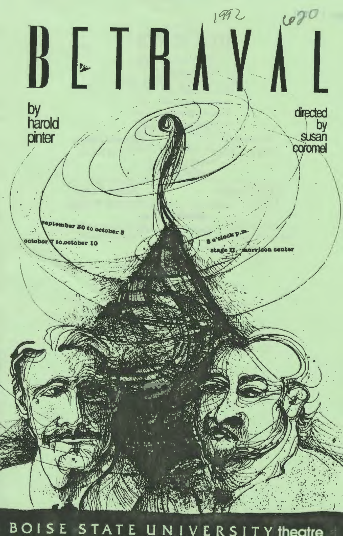

BOISE STATE UNIVERSITY theatre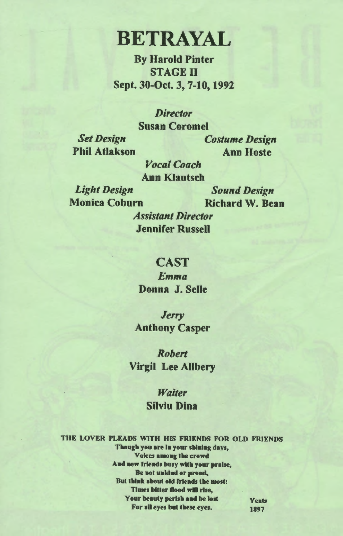# **BETRAYAL**

By Harold Pinter **STAGE II** Sept. 30-0ct. 3, 7-10, 1992

*Director* 

Susan Coromel

*Set Design*  Phil Atlakson *Costume Design*  Ann Hoste

*Vocal Coach*  Ann Klautsch

*Light Design*  Monica Coburn

*Sound Design*  Richard W. Bean

*Assistant Director*  Jennifer Russell

#### CAST

*Emma*  Donna J. Selle

*Jerry*  Anthony Casper

*Robert*  Virgil Lee Allbery

> *Waiter*  Silviu Dina

THE LOVER PLEADS WITH HIS FRIENDS FOR OLD FRIENDS Though you are in your shining days, Voices among the crowd And new friends busy with your praise, Be not unkind or proud, But think about old friends the most: Times bitter flood will rise, Your beauty perish and be lost Yeats For all eyes but these eyes. 1897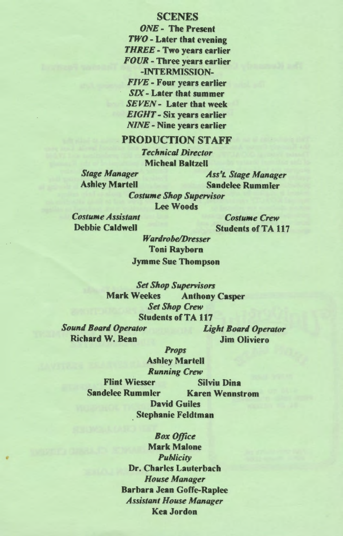#### **SCENES**

*ONE-* The Present *TWO* - Later that evening *THREE-* Two years earlier *FOUR* - Three years earlier -INTERMISSION-*FIVE-* Four years earlier SIX- Later that summer *SEVEN-* Later that week *EIGHT-* Six years earlier *NINE-* Nine years earlier

### PRODUCTION STAFF

*Technical Director*  Micbeal Baltzell

*Stage Manager Ass'L Stage Manager*  **Sandelee Rummler** 

*Costume Shop Supervisor*  Lee Woods

*Costume Assistant*  Debbie Caldwell

*Costume Crew*  Students of TA 117

*Wardrobe/Dresser*  Toni Rayborn Jymme Sue Thompson

*Set Shop Supervisors*  Mark Weekes Anthony Casper *Set Shop Crew*  Students of TA 117

*Sound Board Operator*  Richard W. Bean

*Light Board Operator*  Jim Oliviero

*Props* 

Ashley Martell *Running Crew*  Flint Wiesser Silviu Dina Sandelee Rummier Karen Wennstrom David Guiles Stephanie Feldtman

> *Box Office*  Mark Malone *Publicity*  Dr. Charles Lauterbach *House Manager*  Barbara Jean Goffe-Raplee *Assistant House Manager*  Kea Jordon